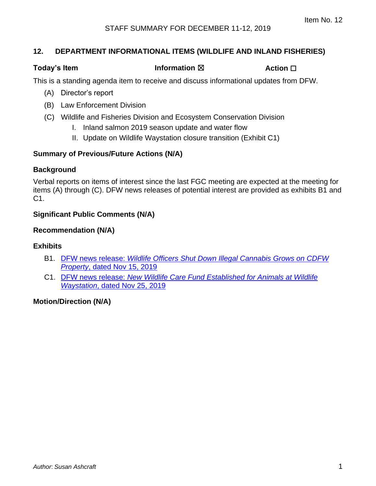#### **12. DEPARTMENT INFORMATIONAL ITEMS (WILDLIFE AND INLAND FISHERIES)**

#### **Today's Item Information** ⊠ **Action □**

This is a standing agenda item to receive and discuss informational updates from DFW.

- (A) Director's report
- (B) Law Enforcement Division
- (C) Wildlife and Fisheries Division and Ecosystem Conservation Division
	- I. Inland salmon 2019 season update and water flow
	- II. Update on Wildlife Waystation closure transition (Exhibit C1)

#### **Summary of Previous/Future Actions (N/A)**

#### **Background**

Verbal reports on items of interest since the last FGC meeting are expected at the meeting for items (A) through (C). DFW news releases of potential interest are provided as exhibits B1 and C1.

### **Significant Public Comments (N/A)**

#### **Recommendation (N/A)**

#### **Exhibits**

- B1. DFW news release: *[Wildlife Officers Shut Down Illegal Cannabis Grows on CDFW](#page-1-0) Property*[, dated Nov 15, 2019](#page-1-0)
- C1. DFW news release: *[New Wildlife Care Fund Established for Animals at Wildlife](#page-3-0) Waystation*[, dated Nov 25, 2019](#page-3-0)

#### **Motion/Direction (N/A)**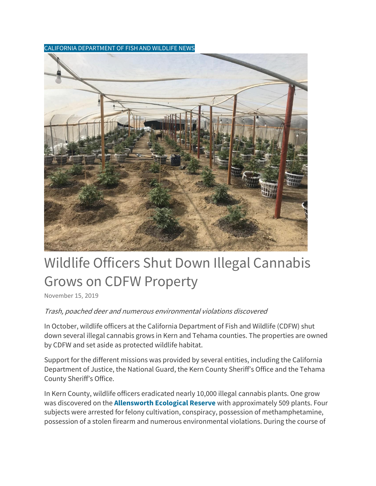<span id="page-1-0"></span>CALIFORNIA DEPARTMENT OF FISH AND WILDLIFE NEWS



# Wildlife Officers Shut Down Illegal Cannabis Grows on CDFW Property

[November 15, 2019](https://cdfgnews.wordpress.com/2019/11/15/wildlife-officers-shut-down-illegal-cannabis-grows-on-cdfw-property/)

#### Trash, poached deer and numerous environmental violations discovered

In October, wildlife officers at the California Department of Fish and Wildlife (CDFW) shut down several illegal cannabis grows in Kern and Tehama counties. The properties are owned by CDFW and set aside as protected wildlife habitat.

Support for the different missions was provided by several entities, including the California Department of Justice, the National Guard, the Kern County Sheriff's Office and the Tehama County Sheriff's Office.

In Kern County, wildlife officers eradicated nearly 10,000 illegal cannabis plants. One grow was discovered on the **[Allensworth Ecological Reserve](https://www.wildlife.ca.gov/Lands/Places-to-Visit/Allensworth-ER)** with approximately 509 plants. Four subjects were arrested for felony cultivation, conspiracy, possession of methamphetamine, possession of a stolen firearm and numerous environmental violations. During the course of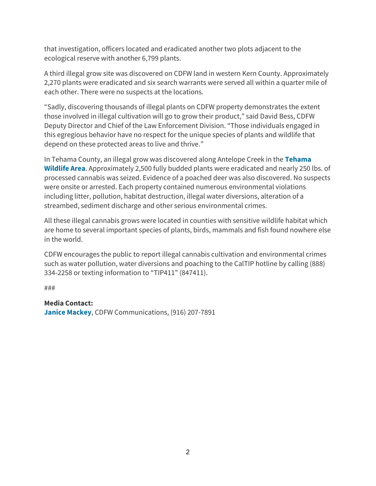that investigation, officers located and eradicated another two plots adjacent to the ecological reserve with another 6,799 plants.

A third illegal grow site was discovered on CDFW land in western Kern County. Approximately 2,270 plants were eradicated and six search warrants were served all within a quarter mile of each other. There were no suspects at the locations.

"Sadly, discovering thousands of illegal plants on CDFW property demonstrates the extent those involved in illegal cultivation will go to grow their product," said David Bess, CDFW Deputy Director and Chief of the Law Enforcement Division. "Those individuals engaged in this egregious behavior have no respect for the unique species of plants and wildlife that depend on these protected areas to live and thrive."

In Tehama County, an illegal grow was discovered along Antelope Creek in the **[Tehama](https://www.wildlife.ca.gov/Lands/Places-to-Visit/Tehama-WA)  [Wildlife Area](https://www.wildlife.ca.gov/Lands/Places-to-Visit/Tehama-WA)**. Approximately 2,500 fully budded plants were eradicated and nearly 250 lbs. of processed cannabis was seized. Evidence of a poached deer was also discovered. No suspects were onsite or arrested. Each property contained numerous environmental violations including litter, pollution, habitat destruction, illegal water diversions, alteration of a streambed, sediment discharge and other serious environmental crimes.

All these illegal cannabis grows were located in counties with sensitive wildlife habitat which are home to several important species of plants, birds, mammals and fish found nowhere else in the world.

CDFW encourages the public to report illegal cannabis cultivation and environmental crimes such as water pollution, water diversions and poaching to the CalTIP hotline by calling (888) 334-2258 or texting information to "TIP411" (847411).

###

#### **Media Contact:**

**[Janice Mackey](mailto:janice.mackey@wildlife.ca.gov)**, CDFW Communications, (916) 207-7891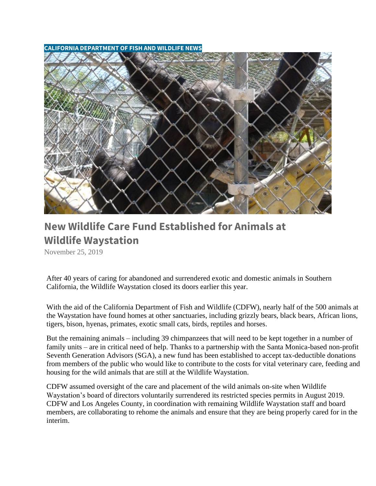<span id="page-3-0"></span>**CALIFORNIA DEPARTMENT OF FISH AND WILDLIFE NEWS**



## **[New Wildlife Care Fund Established for Animals at](https://cdfgnews.wordpress.com/2019/11/25/new-wildlife-care-fund-established-for-animals-at-wildlife-waystation/)  [Wildlife Waystation](https://cdfgnews.wordpress.com/2019/11/25/new-wildlife-care-fund-established-for-animals-at-wildlife-waystation/)**

[November 25, 2019](https://cdfgnews.wordpress.com/2019/11/25/new-wildlife-care-fund-established-for-animals-at-wildlife-waystation/)

After 40 years of caring for abandoned and surrendered exotic and domestic animals in Southern California, the Wildlife Waystation closed its doors earlier this year.

With the aid of the California Department of Fish and Wildlife (CDFW), nearly half of the 500 animals at the Waystation have found homes at other sanctuaries, including grizzly bears, black bears, African lions, tigers, bison, hyenas, primates, exotic small cats, birds, reptiles and horses.

But the remaining animals – including 39 chimpanzees that will need to be kept together in a number of family units – are in critical need of help. Thanks to a partnership with the Santa Monica-based non-profit Seventh Generation Advisors (SGA), a new fund has been established to accept tax-deductible donations from members of the public who would like to contribute to the costs for vital veterinary care, feeding and housing for the wild animals that are still at the Wildlife Waystation.

CDFW assumed oversight of the care and placement of the wild animals on-site when Wildlife Waystation's board of directors voluntarily surrendered its restricted species permits in August 2019. CDFW and Los Angeles County, in coordination with remaining Wildlife Waystation staff and board members, are collaborating to rehome the animals and ensure that they are being properly cared for in the interim.